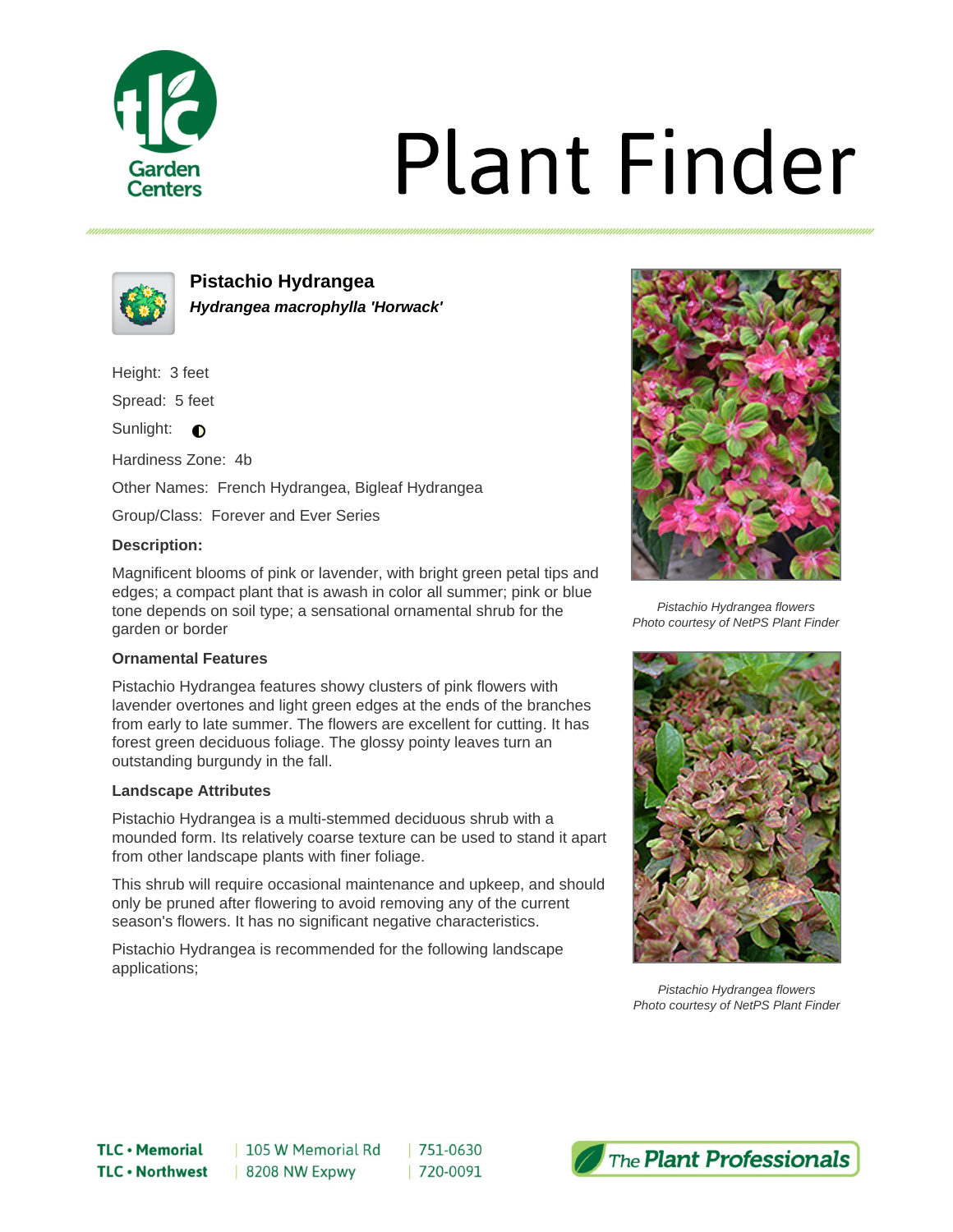

# **Plant Finder**



**Pistachio Hydrangea Hydrangea macrophylla 'Horwack'**

Height: 3 feet

Spread: 5 feet

Sunlight:  $\bigcirc$ 

Hardiness Zone: 4b

Other Names: French Hydrangea, Bigleaf Hydrangea

Group/Class: Forever and Ever Series

## **Description:**

Magnificent blooms of pink or lavender, with bright green petal tips and edges; a compact plant that is awash in color all summer; pink or blue tone depends on soil type; a sensational ornamental shrub for the garden or border

## **Ornamental Features**

Pistachio Hydrangea features showy clusters of pink flowers with lavender overtones and light green edges at the ends of the branches from early to late summer. The flowers are excellent for cutting. It has forest green deciduous foliage. The glossy pointy leaves turn an outstanding burgundy in the fall.

#### **Landscape Attributes**

Pistachio Hydrangea is a multi-stemmed deciduous shrub with a mounded form. Its relatively coarse texture can be used to stand it apart from other landscape plants with finer foliage.

This shrub will require occasional maintenance and upkeep, and should only be pruned after flowering to avoid removing any of the current season's flowers. It has no significant negative characteristics.

Pistachio Hydrangea is recommended for the following landscape applications;



Pistachio Hydrangea flowers Photo courtesy of NetPS Plant Finder



Pistachio Hydrangea flowers Photo courtesy of NetPS Plant Finder

751-0630 | 720-0091